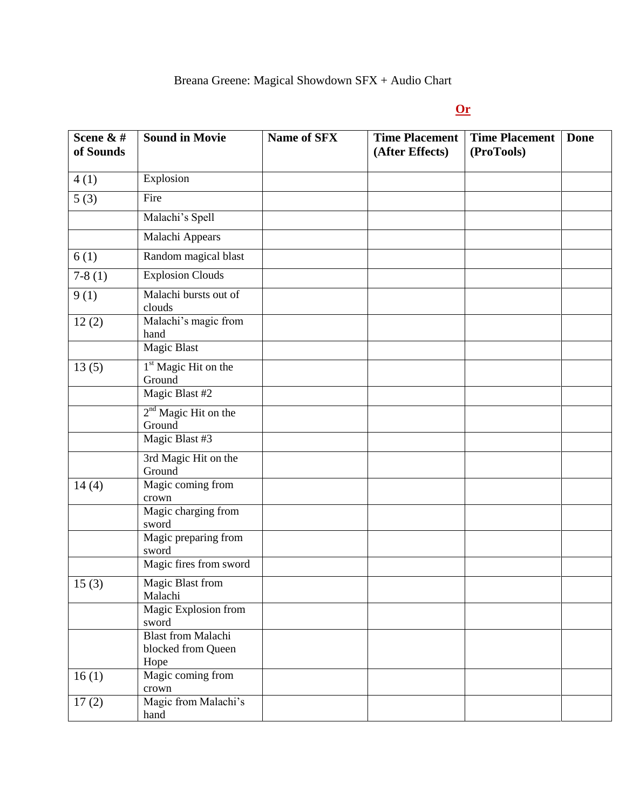## Breana Greene: Magical Showdown SFX + Audio Chart

## **Or** Section 2014 **Contract 2014**

| Scene & #<br>of Sounds | <b>Sound in Movie</b>                                   | <b>Name of SFX</b> | <b>Time Placement</b><br>(After Effects) | <b>Time Placement</b><br>(ProTools) | Done |
|------------------------|---------------------------------------------------------|--------------------|------------------------------------------|-------------------------------------|------|
| 4(1)                   | Explosion                                               |                    |                                          |                                     |      |
| 5(3)                   | Fire                                                    |                    |                                          |                                     |      |
|                        | Malachi's Spell                                         |                    |                                          |                                     |      |
|                        | Malachi Appears                                         |                    |                                          |                                     |      |
| 6(1)                   | Random magical blast                                    |                    |                                          |                                     |      |
| $7-8(1)$               | <b>Explosion Clouds</b>                                 |                    |                                          |                                     |      |
| 9(1)                   | Malachi bursts out of<br>clouds                         |                    |                                          |                                     |      |
| 12(2)                  | Malachi's magic from<br>hand                            |                    |                                          |                                     |      |
|                        | Magic Blast                                             |                    |                                          |                                     |      |
| 13(5)                  | 1 <sup>st</sup> Magic Hit on the<br>Ground              |                    |                                          |                                     |      |
|                        | Magic Blast #2                                          |                    |                                          |                                     |      |
|                        | $2nd$ Magic Hit on the<br>Ground                        |                    |                                          |                                     |      |
|                        | Magic Blast #3                                          |                    |                                          |                                     |      |
|                        | 3rd Magic Hit on the<br>Ground                          |                    |                                          |                                     |      |
| 14(4)                  | Magic coming from<br>crown                              |                    |                                          |                                     |      |
|                        | Magic charging from<br>sword                            |                    |                                          |                                     |      |
|                        | Magic preparing from<br>sword                           |                    |                                          |                                     |      |
|                        | Magic fires from sword                                  |                    |                                          |                                     |      |
| 15(3)                  | Magic Blast from<br>Malachi                             |                    |                                          |                                     |      |
|                        | Magic Explosion from<br>sword                           |                    |                                          |                                     |      |
|                        | <b>Blast from Malachi</b><br>blocked from Queen<br>Hope |                    |                                          |                                     |      |
| 16(1)                  | Magic coming from<br>crown                              |                    |                                          |                                     |      |
| 17(2)                  | Magic from Malachi's<br>hand                            |                    |                                          |                                     |      |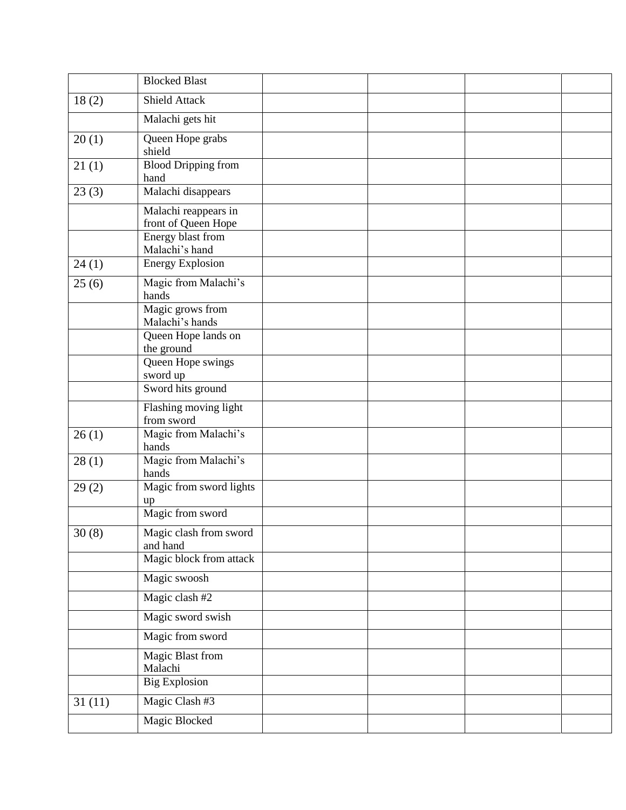|        | <b>Blocked Blast</b>                        |  |  |
|--------|---------------------------------------------|--|--|
| 18(2)  | Shield Attack                               |  |  |
|        | Malachi gets hit                            |  |  |
| 20(1)  | Queen Hope grabs<br>shield                  |  |  |
| 21(1)  | <b>Blood Dripping from</b><br>hand          |  |  |
| 23(3)  | Malachi disappears                          |  |  |
|        | Malachi reappears in<br>front of Queen Hope |  |  |
|        | Energy blast from<br>Malachi's hand         |  |  |
| 24(1)  | <b>Energy Explosion</b>                     |  |  |
| 25(6)  | Magic from Malachi's<br>hands               |  |  |
|        | Magic grows from<br>Malachi's hands         |  |  |
|        | Queen Hope lands on<br>the ground           |  |  |
|        | Queen Hope swings<br>sword up               |  |  |
|        | Sword hits ground                           |  |  |
|        | Flashing moving light<br>from sword         |  |  |
| 26(1)  | Magic from Malachi's<br>hands               |  |  |
| 28(1)  | Magic from Malachi's<br>hands               |  |  |
| 29(2)  | Magic from sword lights<br>up               |  |  |
|        | Magic from sword                            |  |  |
| 30(8)  | Magic clash from sword<br>and hand          |  |  |
|        | Magic block from attack                     |  |  |
|        | Magic swoosh                                |  |  |
|        | Magic clash #2                              |  |  |
|        | Magic sword swish                           |  |  |
|        | Magic from sword                            |  |  |
|        | <b>Magic Blast from</b><br>Malachi          |  |  |
|        | <b>Big Explosion</b>                        |  |  |
| 31(11) | Magic Clash #3                              |  |  |
|        | Magic Blocked                               |  |  |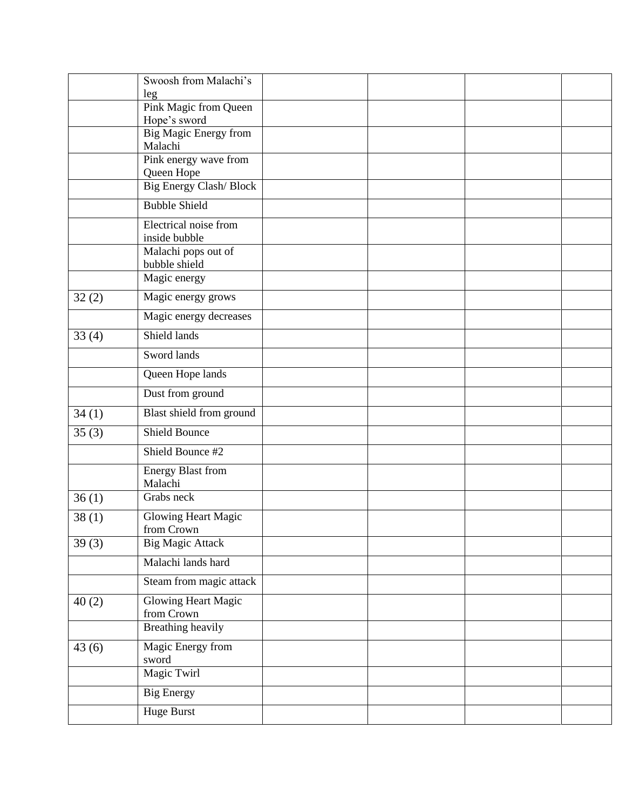|       | Swoosh from Malachi's                    |  |  |
|-------|------------------------------------------|--|--|
|       | leg<br>Pink Magic from Queen             |  |  |
|       | Hope's sword                             |  |  |
|       | Big Magic Energy from<br>Malachi         |  |  |
|       | Pink energy wave from<br>Queen Hope      |  |  |
|       | <b>Big Energy Clash/Block</b>            |  |  |
|       | <b>Bubble Shield</b>                     |  |  |
|       | Electrical noise from<br>inside bubble   |  |  |
|       | Malachi pops out of<br>bubble shield     |  |  |
|       | Magic energy                             |  |  |
| 32(2) | Magic energy grows                       |  |  |
|       | Magic energy decreases                   |  |  |
| 33(4) | Shield lands                             |  |  |
|       | Sword lands                              |  |  |
|       | Queen Hope lands                         |  |  |
|       | Dust from ground                         |  |  |
| 34(1) | Blast shield from ground                 |  |  |
| 35(3) | <b>Shield Bounce</b>                     |  |  |
|       | Shield Bounce #2                         |  |  |
|       | <b>Energy Blast from</b><br>Malachi      |  |  |
| 36(1) | Grabs neck                               |  |  |
| 38(1) | Glowing Heart Magic<br>from Crown        |  |  |
| 39(3) | <b>Big Magic Attack</b>                  |  |  |
|       | Malachi lands hard                       |  |  |
|       | Steam from magic attack                  |  |  |
| 40(2) | <b>Glowing Heart Magic</b><br>from Crown |  |  |
|       | <b>Breathing heavily</b>                 |  |  |
| 43(6) | Magic Energy from<br>sword               |  |  |
|       | Magic Twirl                              |  |  |
|       | <b>Big Energy</b>                        |  |  |
|       | Huge Burst                               |  |  |
|       |                                          |  |  |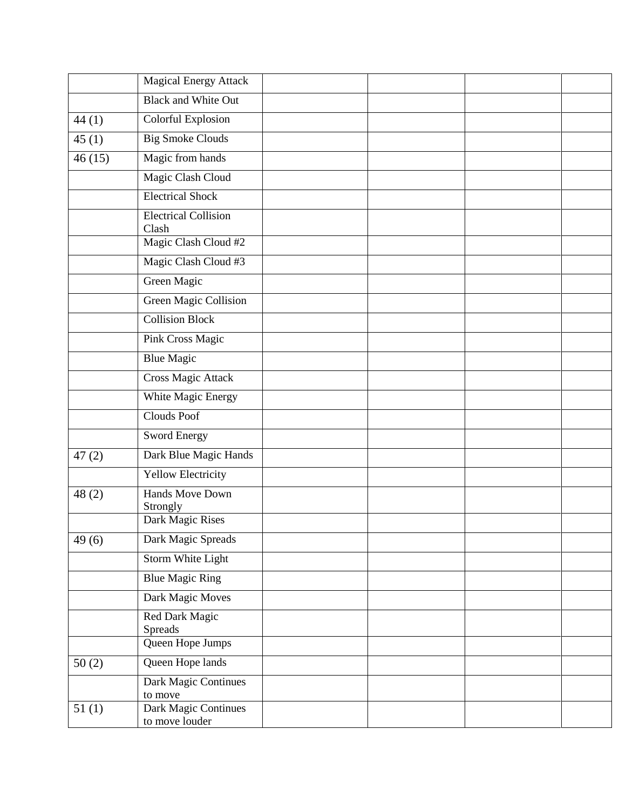|        | <b>Magical Energy Attack</b>           |  |  |
|--------|----------------------------------------|--|--|
|        | <b>Black and White Out</b>             |  |  |
| 44(1)  | Colorful Explosion                     |  |  |
| 45(1)  | <b>Big Smoke Clouds</b>                |  |  |
| 46(15) | Magic from hands                       |  |  |
|        | Magic Clash Cloud                      |  |  |
|        | <b>Electrical Shock</b>                |  |  |
|        | <b>Electrical Collision</b><br>Clash   |  |  |
|        | Magic Clash Cloud #2                   |  |  |
|        | Magic Clash Cloud #3                   |  |  |
|        | Green Magic                            |  |  |
|        | <b>Green Magic Collision</b>           |  |  |
|        | <b>Collision Block</b>                 |  |  |
|        | Pink Cross Magic                       |  |  |
|        | <b>Blue Magic</b>                      |  |  |
|        | <b>Cross Magic Attack</b>              |  |  |
|        | White Magic Energy                     |  |  |
|        | Clouds Poof                            |  |  |
|        | Sword Energy                           |  |  |
| 47(2)  | Dark Blue Magic Hands                  |  |  |
|        | <b>Yellow Electricity</b>              |  |  |
| 48(2)  | <b>Hands Move Down</b><br>Strongly     |  |  |
|        | Dark Magic Rises                       |  |  |
| 49(6)  | Dark Magic Spreads                     |  |  |
|        | Storm White Light                      |  |  |
|        | <b>Blue Magic Ring</b>                 |  |  |
|        | Dark Magic Moves                       |  |  |
|        | Red Dark Magic<br><b>Spreads</b>       |  |  |
|        | Queen Hope Jumps                       |  |  |
| 50(2)  | Queen Hope lands                       |  |  |
|        | Dark Magic Continues<br>to move        |  |  |
| 51(1)  | Dark Magic Continues<br>to move louder |  |  |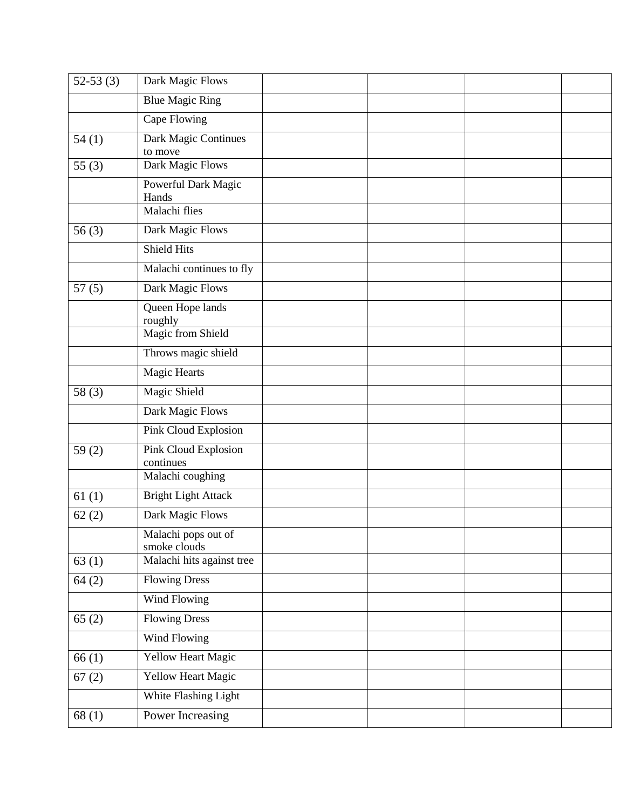| $52-53(3)$ | Dark Magic Flows                    |  |  |
|------------|-------------------------------------|--|--|
|            | <b>Blue Magic Ring</b>              |  |  |
|            | Cape Flowing                        |  |  |
| 54(1)      | Dark Magic Continues<br>to move     |  |  |
| 55 $(3)$   | Dark Magic Flows                    |  |  |
|            | Powerful Dark Magic<br>Hands        |  |  |
|            | Malachi flies                       |  |  |
| 56(3)      | Dark Magic Flows                    |  |  |
|            | <b>Shield Hits</b>                  |  |  |
|            | Malachi continues to fly            |  |  |
| 57(5)      | Dark Magic Flows                    |  |  |
|            | Queen Hope lands<br>roughly         |  |  |
|            | <b>Magic from Shield</b>            |  |  |
|            | Throws magic shield                 |  |  |
|            | <b>Magic Hearts</b>                 |  |  |
| 58(3)      | <b>Magic Shield</b>                 |  |  |
|            | Dark Magic Flows                    |  |  |
|            | Pink Cloud Explosion                |  |  |
| 59 $(2)$   | Pink Cloud Explosion<br>continues   |  |  |
|            | Malachi coughing                    |  |  |
| 61(1)      | <b>Bright Light Attack</b>          |  |  |
| 62(2)      | Dark Magic Flows                    |  |  |
|            | Malachi pops out of<br>smoke clouds |  |  |
| 63(1)      | Malachi hits against tree           |  |  |
| 64(2)      | <b>Flowing Dress</b>                |  |  |
|            | Wind Flowing                        |  |  |
| 65(2)      | <b>Flowing Dress</b>                |  |  |
|            | Wind Flowing                        |  |  |
| 66(1)      | <b>Yellow Heart Magic</b>           |  |  |
| 67(2)      | Yellow Heart Magic                  |  |  |
|            | White Flashing Light                |  |  |
| 68(1)      | Power Increasing                    |  |  |